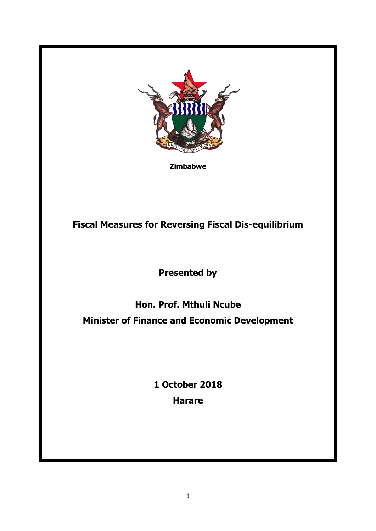

**Zimbabwe**

**Fiscal Measures for Reversing Fiscal Dis-equilibrium**

**Presented by** 

**Hon. Prof. Mthuli Ncube Minister of Finance and Economic Development**

> **1 October 2018 Harare**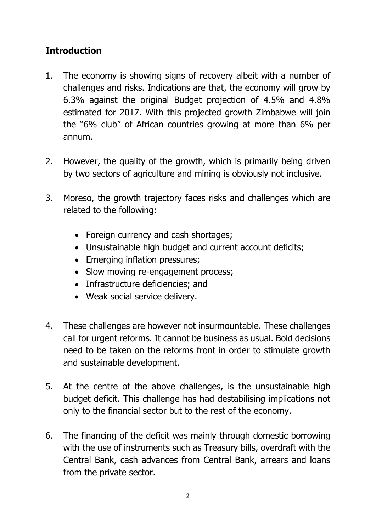# **Introduction**

- 1. The economy is showing signs of recovery albeit with a number of challenges and risks. Indications are that, the economy will grow by 6.3% against the original Budget projection of 4.5% and 4.8% estimated for 2017. With this projected growth Zimbabwe will join the "6% club" of African countries growing at more than 6% per annum.
- 2. However, the quality of the growth, which is primarily being driven by two sectors of agriculture and mining is obviously not inclusive.
- 3. Moreso, the growth trajectory faces risks and challenges which are related to the following:
	- Foreign currency and cash shortages;
	- Unsustainable high budget and current account deficits;
	- Emerging inflation pressures;
	- Slow moving re-engagement process;
	- Infrastructure deficiencies; and
	- Weak social service delivery.
- 4. These challenges are however not insurmountable. These challenges call for urgent reforms. It cannot be business as usual. Bold decisions need to be taken on the reforms front in order to stimulate growth and sustainable development.
- 5. At the centre of the above challenges, is the unsustainable high budget deficit. This challenge has had destabilising implications not only to the financial sector but to the rest of the economy.
- 6. The financing of the deficit was mainly through domestic borrowing with the use of instruments such as Treasury bills, overdraft with the Central Bank, cash advances from Central Bank, arrears and loans from the private sector.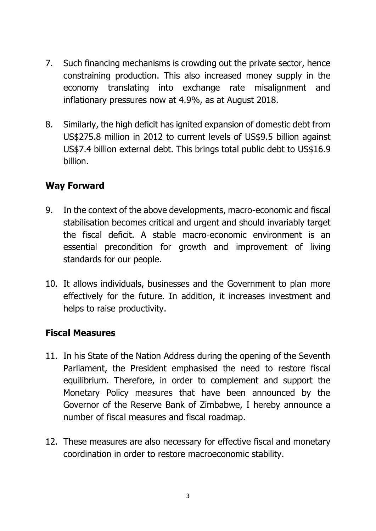- 7. Such financing mechanisms is crowding out the private sector, hence constraining production. This also increased money supply in the economy translating into exchange rate misalignment and inflationary pressures now at 4.9%, as at August 2018.
- 8. Similarly, the high deficit has ignited expansion of domestic debt from US\$275.8 million in 2012 to current levels of US\$9.5 billion against US\$7.4 billion external debt. This brings total public debt to US\$16.9 billion.

# **Way Forward**

- 9. In the context of the above developments, macro-economic and fiscal stabilisation becomes critical and urgent and should invariably target the fiscal deficit. A stable macro-economic environment is an essential precondition for growth and improvement of living standards for our people.
- 10. It allows individuals, businesses and the Government to plan more effectively for the future. In addition, it increases investment and helps to raise productivity.

# **Fiscal Measures**

- 11. In his State of the Nation Address during the opening of the Seventh Parliament, the President emphasised the need to restore fiscal equilibrium. Therefore, in order to complement and support the Monetary Policy measures that have been announced by the Governor of the Reserve Bank of Zimbabwe, I hereby announce a number of fiscal measures and fiscal roadmap.
- 12. These measures are also necessary for effective fiscal and monetary coordination in order to restore macroeconomic stability.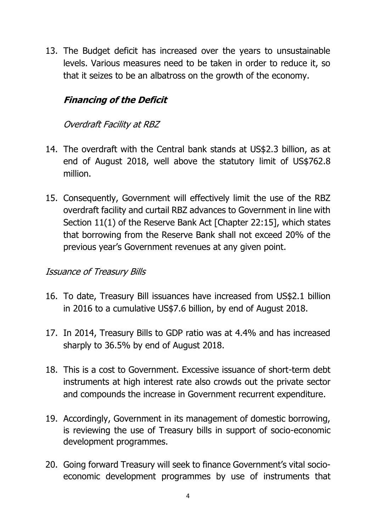13. The Budget deficit has increased over the years to unsustainable levels. Various measures need to be taken in order to reduce it, so that it seizes to be an albatross on the growth of the economy.

# **Financing of the Deficit**

### Overdraft Facility at RBZ

- 14. The overdraft with the Central bank stands at US\$2.3 billion, as at end of August 2018, well above the statutory limit of US\$762.8 million.
- 15. Consequently, Government will effectively limit the use of the RBZ overdraft facility and curtail RBZ advances to Government in line with Section 11(1) of the Reserve Bank Act [Chapter 22:15], which states that borrowing from the Reserve Bank shall not exceed 20% of the previous year's Government revenues at any given point.

#### Issuance of Treasury Bills

- 16. To date, Treasury Bill issuances have increased from US\$2.1 billion in 2016 to a cumulative US\$7.6 billion, by end of August 2018.
- 17. In 2014, Treasury Bills to GDP ratio was at 4.4% and has increased sharply to 36.5% by end of August 2018.
- 18. This is a cost to Government. Excessive issuance of short-term debt instruments at high interest rate also crowds out the private sector and compounds the increase in Government recurrent expenditure.
- 19. Accordingly, Government in its management of domestic borrowing, is reviewing the use of Treasury bills in support of socio-economic development programmes.
- 20. Going forward Treasury will seek to finance Government's vital socioeconomic development programmes by use of instruments that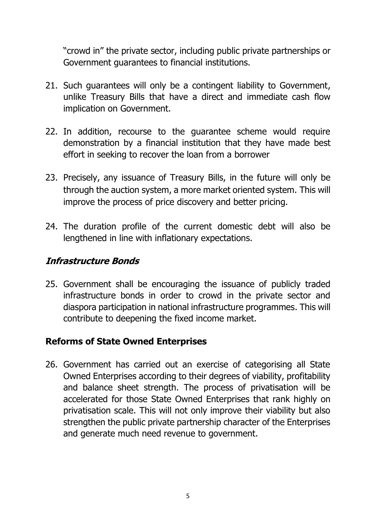"crowd in" the private sector, including public private partnerships or Government guarantees to financial institutions.

- 21. Such guarantees will only be a contingent liability to Government, unlike Treasury Bills that have a direct and immediate cash flow implication on Government.
- 22. In addition, recourse to the guarantee scheme would require demonstration by a financial institution that they have made best effort in seeking to recover the loan from a borrower
- 23. Precisely, any issuance of Treasury Bills, in the future will only be through the auction system, a more market oriented system. This will improve the process of price discovery and better pricing.
- 24. The duration profile of the current domestic debt will also be lengthened in line with inflationary expectations.

## **Infrastructure Bonds**

25. Government shall be encouraging the issuance of publicly traded infrastructure bonds in order to crowd in the private sector and diaspora participation in national infrastructure programmes. This will contribute to deepening the fixed income market.

#### **Reforms of State Owned Enterprises**

26. Government has carried out an exercise of categorising all State Owned Enterprises according to their degrees of viability, profitability and balance sheet strength. The process of privatisation will be accelerated for those State Owned Enterprises that rank highly on privatisation scale. This will not only improve their viability but also strengthen the public private partnership character of the Enterprises and generate much need revenue to government.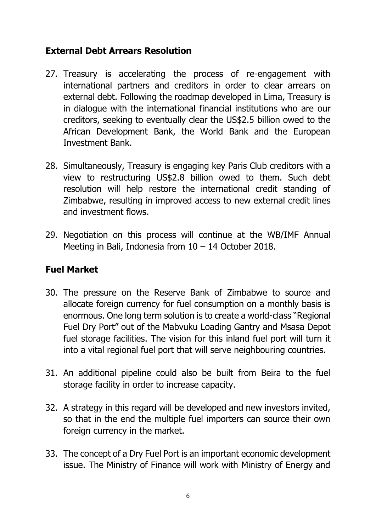# **External Debt Arrears Resolution**

- 27. Treasury is accelerating the process of re-engagement with international partners and creditors in order to clear arrears on external debt. Following the roadmap developed in Lima, Treasury is in dialogue with the international financial institutions who are our creditors, seeking to eventually clear the US\$2.5 billion owed to the African Development Bank, the World Bank and the European Investment Bank.
- 28. Simultaneously, Treasury is engaging key Paris Club creditors with a view to restructuring US\$2.8 billion owed to them. Such debt resolution will help restore the international credit standing of Zimbabwe, resulting in improved access to new external credit lines and investment flows.
- 29. Negotiation on this process will continue at the WB/IMF Annual Meeting in Bali, Indonesia from 10 – 14 October 2018.

### **Fuel Market**

- 30. The pressure on the Reserve Bank of Zimbabwe to source and allocate foreign currency for fuel consumption on a monthly basis is enormous. One long term solution is to create a world-class "Regional Fuel Dry Port" out of the Mabvuku Loading Gantry and Msasa Depot fuel storage facilities. The vision for this inland fuel port will turn it into a vital regional fuel port that will serve neighbouring countries.
- 31. An additional pipeline could also be built from Beira to the fuel storage facility in order to increase capacity.
- 32. A strategy in this regard will be developed and new investors invited, so that in the end the multiple fuel importers can source their own foreign currency in the market.
- 33. The concept of a Dry Fuel Port is an important economic development issue. The Ministry of Finance will work with Ministry of Energy and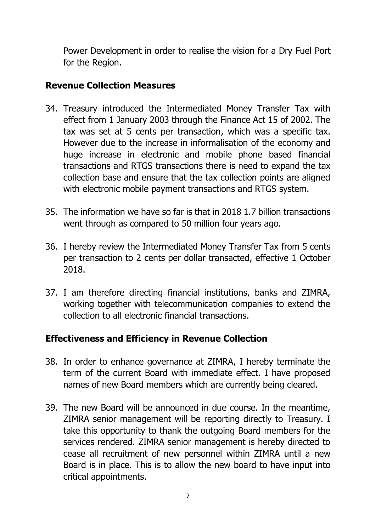Power Development in order to realise the vision for a Dry Fuel Port for the Region.

# **Revenue Collection Measures**

- 34. Treasury introduced the Intermediated Money Transfer Tax with effect from 1 January 2003 through the Finance Act 15 of 2002. The tax was set at 5 cents per transaction, which was a specific tax. However due to the increase in informalisation of the economy and huge increase in electronic and mobile phone based financial transactions and RTGS transactions there is need to expand the tax collection base and ensure that the tax collection points are aligned with electronic mobile payment transactions and RTGS system.
- 35. The information we have so far is that in 2018 1.7 billion transactions went through as compared to 50 million four years ago.
- 36. I hereby review the Intermediated Money Transfer Tax from 5 cents per transaction to 2 cents per dollar transacted, effective 1 October 2018.
- 37. I am therefore directing financial institutions, banks and ZIMRA, working together with telecommunication companies to extend the collection to all electronic financial transactions.

# **Effectiveness and Efficiency in Revenue Collection**

- 38. In order to enhance governance at ZIMRA, I hereby terminate the term of the current Board with immediate effect. I have proposed names of new Board members which are currently being cleared.
- 39. The new Board will be announced in due course. In the meantime, ZIMRA senior management will be reporting directly to Treasury. I take this opportunity to thank the outgoing Board members for the services rendered. ZIMRA senior management is hereby directed to cease all recruitment of new personnel within ZIMRA until a new Board is in place. This is to allow the new board to have input into critical appointments.